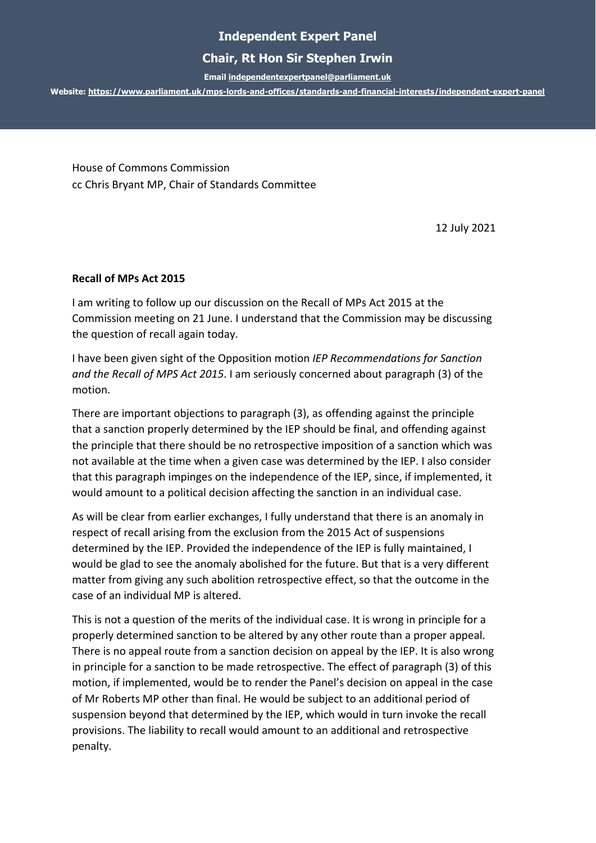## **Independent Expert Panel**

## **Chair, Rt Hon Sir Stephen Irwin**

**Emai[l independentexpertpanel@parliament.uk](mailto:independentexpertpanel@parliament.uk)**

**Website:<https://www.parliament.uk/mps-lords-and-offices/standards-and-financial-interests/independent-expert-panel>**

House of Commons Commission cc Chris Bryant MP, Chair of Standards Committee

12 July 2021

## **Recall of MPs Act 2015**

I am writing to follow up our discussion on the Recall of MPs Act 2015 at the Commission meeting on 21 June. I understand that the Commission may be discussing the question of recall again today.

I have been given sight of the Opposition motion *IEP Recommendations for Sanction and the Recall of MPS Act 2015*. I am seriously concerned about paragraph (3) of the motion.

There are important objections to paragraph (3), as offending against the principle that a sanction properly determined by the IEP should be final, and offending against the principle that there should be no retrospective imposition of a sanction which was not available at the time when a given case was determined by the IEP. I also consider that this paragraph impinges on the independence of the IEP, since, if implemented, it would amount to a political decision affecting the sanction in an individual case.

As will be clear from earlier exchanges, I fully understand that there is an anomaly in respect of recall arising from the exclusion from the 2015 Act of suspensions determined by the IEP. Provided the independence of the IEP is fully maintained, I would be glad to see the anomaly abolished for the future. But that is a very different matter from giving any such abolition retrospective effect, so that the outcome in the case of an individual MP is altered.

This is not a question of the merits of the individual case. It is wrong in principle for a properly determined sanction to be altered by any other route than a proper appeal. There is no appeal route from a sanction decision on appeal by the IEP. It is also wrong in principle for a sanction to be made retrospective. The effect of paragraph (3) of this motion, if implemented, would be to render the Panel's decision on appeal in the case of Mr Roberts MP other than final. He would be subject to an additional period of suspension beyond that determined by the IEP, which would in turn invoke the recall provisions. The liability to recall would amount to an additional and retrospective penalty.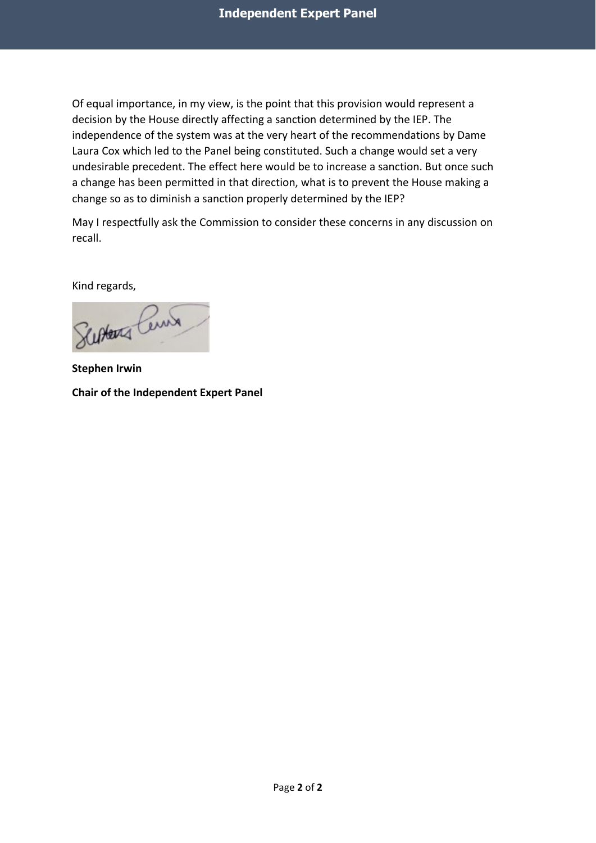Of equal importance, in my view, is the point that this provision would represent a decision by the House directly affecting a sanction determined by the IEP. The independence of the system was at the very heart of the recommendations by Dame Laura Cox which led to the Panel being constituted. Such a change would set a very undesirable precedent. The effect here would be to increase a sanction. But once such a change has been permitted in that direction, what is to prevent the House making a change so as to diminish a sanction properly determined by the IEP?

May I respectfully ask the Commission to consider these concerns in any discussion on recall.

Kind regards,

School Cent

**Stephen Irwin Chair of the Independent Expert Panel**